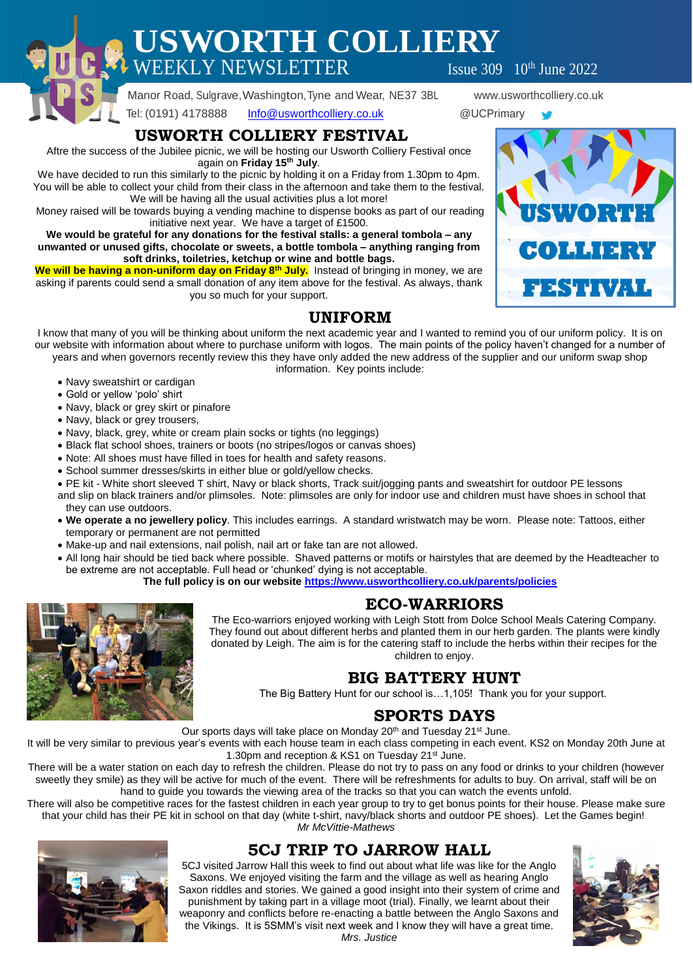**USWORTH COLLIERY**  $\text{WEEKLY NEWSLETTER}$  Issue 309  $10^{\text{th}}$  June 2022

Manor Road, Sulgrave,Washington,Tyne and Wear, NE37 3BL www.usworthcolliery.co.uk

Tel: (0191) 4178888 [Info@usworthcolliery.co.uk](mailto:Info@usworthcolliery.co.uk) @UCPrimary

## **USWORTH COLLIERY FESTIVAL**

Aftre the success of the Jubilee picnic, we will be hosting our Usworth Colliery Festival once again on **Friday 15th July**.

We have decided to run this similarly to the picnic by holding it on a Friday from 1.30pm to 4pm. You will be able to collect your child from their class in the afternoon and take them to the festival. We will be having all the usual activities plus a lot more!

Money raised will be towards buying a vending machine to dispense books as part of our reading initiative next year. We have a target of £1500.

**We would be grateful for any donations for the festival stalls: a general tombola – any unwanted or unused gifts, chocolate or sweets, a bottle tombola – anything ranging from soft drinks, toiletries, ketchup or wine and bottle bags.**

**We will be having a non-uniform day on Friday 8th July.** Instead of bringing in money, we are asking if parents could send a small donation of any item above for the festival. As always, thank you so much for your support.

# **UNIFORM**

I know that many of you will be thinking about uniform the next academic year and I wanted to remind you of our uniform policy. It is on our website with information about where to purchase uniform with logos. The main points of the policy haven't changed for a number of years and when governors recently review this they have only added the new address of the supplier and our uniform swap shop

information. Key points include:

- Navy sweatshirt or cardigan
- Gold or yellow 'polo' shirt
- Navy, black or grey skirt or pinafore
- Navy, black or grey trousers,
- Navy, black, grey, white or cream plain socks or tights (no leggings)
- Black flat school shoes, trainers or boots (no stripes/logos or canvas shoes)
- Note: All shoes must have filled in toes for health and safety reasons.
- School summer dresses/skirts in either blue or gold/yellow checks.
- PE kit White short sleeved T shirt, Navy or black shorts, Track suit/jogging pants and sweatshirt for outdoor PE lessons
- and slip on black trainers and/or plimsoles. Note: plimsoles are only for indoor use and children must have shoes in school that they can use outdoors.
- **We operate a no jewellery policy**. This includes earrings. A standard wristwatch may be worn. Please note: Tattoos, either temporary or permanent are not permitted
- Make-up and nail extensions, nail polish, nail art or fake tan are not allowed.
- All long hair should be tied back where possible. Shaved patterns or motifs or hairstyles that are deemed by the Headteacher to be extreme are not acceptable. Full head or 'chunked' dying is not acceptable.

**The full policy is on our website<https://www.usworthcolliery.co.uk/parents/policies>**

### **ECO-WARRIORS**

The Eco-warriors enjoyed working with Leigh Stott from Dolce School Meals Catering Company. They found out about different herbs and planted them in our herb garden. The plants were kindly donated by Leigh. The aim is for the catering staff to include the herbs within their recipes for the children to enjoy.

### **BIG BATTERY HUNT**

The Big Battery Hunt for our school is…1,105! Thank you for your support.

# **SPORTS DAYS**

Our sports days will take place on Monday 20<sup>th</sup> and Tuesday 21<sup>st</sup> June.

It will be very similar to previous year's events with each house team in each class competing in each event. KS2 on Monday 20th June at 1.30pm and reception & KS1 on Tuesday 21<sup>st</sup> June.

There will be a water station on each day to refresh the children. Please do not try to pass on any food or drinks to your children (however sweetly they smile) as they will be active for much of the event. There will be refreshments for adults to buy. On arrival, staff will be on hand to guide you towards the viewing area of the tracks so that you can watch the events unfold.

There will also be competitive races for the fastest children in each year group to try to get bonus points for their house. Please make sure that your child has their PE kit in school on that day (white t-shirt, navy/black shorts and outdoor PE shoes). Let the Games begin! *Mr McVittie-Mathews*

#### **5CJ TRIP TO JARROW HALL** 5CJ visited Jarrow Hall this week to find out about what life was like for the Anglo

Saxons. We enjoyed visiting the farm and the village as well as hearing Anglo Saxon riddles and stories. We gained a good insight into their system of crime and punishment by taking part in a village moot (trial). Finally, we learnt about their weaponry and conflicts before re-enacting a battle between the Anglo Saxons and the Vikings. It is 5SMM's visit next week and I know they will have a great time. *Mrs. Justice*





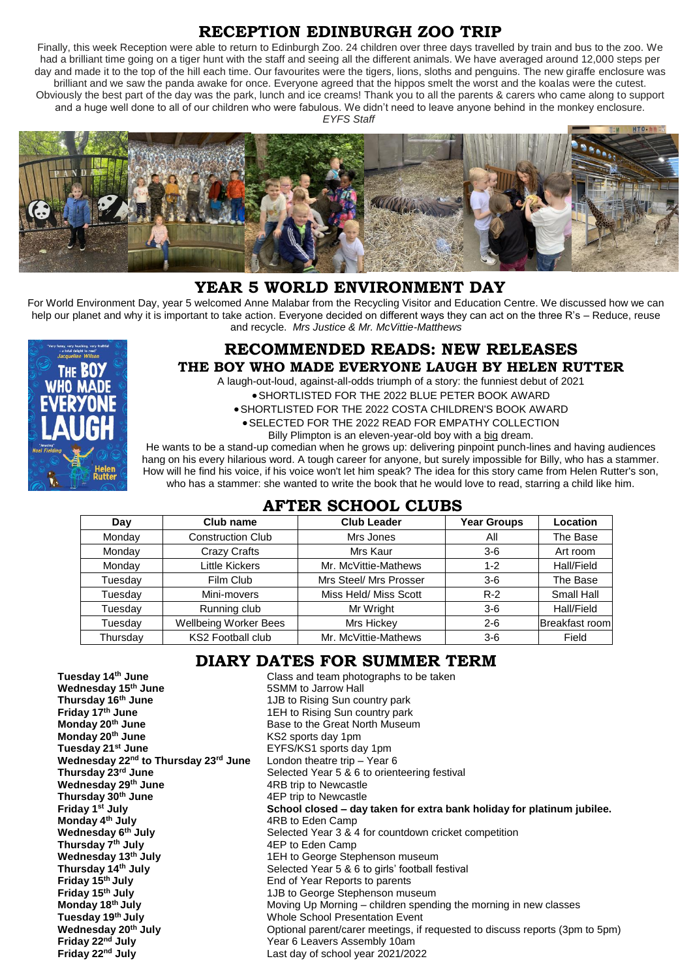## **RECEPTION EDINBURGH ZOO TRIP**

Finally, this week Reception were able to return to Edinburgh Zoo. 24 children over three days travelled by train and bus to the zoo. We had a brilliant time going on a tiger hunt with the staff and seeing all the different animals. We have averaged around 12,000 steps per day and made it to the top of the hill each time. Our favourites were the tigers, lions, sloths and penguins. The new giraffe enclosure was brilliant and we saw the panda awake for once. Everyone agreed that the hippos smelt the worst and the koalas were the cutest. Obviously the best part of the day was the park, lunch and ice creams! Thank you to all the parents & carers who came along to support and a huge well done to all of our children who were fabulous. We didn't need to leave anyone behind in the monkey enclosure. *EYFS Staff*



## **YEAR 5 WORLD ENVIRONMENT DAY**

For World Environment Day, year 5 welcomed Anne Malabar from the Recycling Visitor and Education Centre. We discussed how we can help our planet and why it is important to take action. Everyone decided on different ways they can act on the three R's – Reduce, reuse and recycle. *Mrs Justice & Mr. McVittie-Matthews*



#### **RECOMMENDED READS: NEW RELEASES THE BOY WHO MADE EVERYONE LAUGH BY HELEN RUTTER**

A laugh-out-loud, against-all-odds triumph of a story: the funniest debut of 2021

SHORTLISTED FOR THE 2022 BLUE PETER BOOK AWARD

SHORTLISTED FOR THE 2022 COSTA CHILDREN'S BOOK AWARD

SELECTED FOR THE 2022 READ FOR EMPATHY COLLECTION

Billy Plimpton is an eleven-year-old boy with a big dream.

He wants to be a stand-up comedian when he grows up: delivering pinpoint punch-lines and having audiences hang on his every hilarious word. A tough career for anyone, but surely impossible for Billy, who has a stammer. How will he find his voice, if his voice won't let him speak? The idea for this story came from Helen Rutter's son, who has a stammer: she wanted to write the book that he would love to read, starring a child like him.

### **AFTER SCHOOL CLUBS**

| Day      | Club name                    | <b>Club Leader</b>     | <b>Year Groups</b> | Location       |
|----------|------------------------------|------------------------|--------------------|----------------|
| Monday   | <b>Construction Club</b>     | Mrs Jones              | All                | The Base       |
| Monday   | <b>Crazy Crafts</b>          | Mrs Kaur               | $3-6$              | Art room       |
| Monday   | <b>Little Kickers</b>        | Mr. McVittie-Mathews   | $1 - 2$            | Hall/Field     |
| Tuesday  | Film Club                    | Mrs Steel/ Mrs Prosser | $3-6$              | The Base       |
| Tuesday  | Mini-movers                  | Miss Held/ Miss Scott  | $R-2$              | Small Hall     |
| Tuesday  | Running club                 | Mr Wright              | $3-6$              | Hall/Field     |
| Tuesday  | <b>Wellbeing Worker Bees</b> | Mrs Hickey             | $2 - 6$            | Breakfast room |
| Thursday | <b>KS2 Football club</b>     | Mr. McVittie-Mathews   | $3-6$              | Field          |

## **DIARY DATES FOR SUMMER TERM**

**Tuesday 14th June** Class and team photographs to be taken **Wednesday 15th June** 5SMM to Jarrow Hall **Thursday 16th June** 1JB to Rising Sun country park **Friday 17<sup>th</sup> June**<br> **Monday 20<sup>th</sup> June**<br> **Monday 20<sup>th</sup> June**<br> **Base to the Great North Museur Monday 20<sup>th</sup> June**<br> **Monday 20<sup>th</sup> June**<br> **Monday 20<sup>th</sup> June**<br> **Example 20** to the Great North Museum **Monday 20th June** KS2 sports day 1pm **Tuesday 21st June** EYFS/KS1 sports day 1pm **Wednesday 22nd to Thursday 23rd June** London theatre trip – Year 6 Selected Year 5 & 6 to orienteering festival **Wednesday 29th June** 4RB trip to Newcastle Thursday 30<sup>th</sup> June<br>Friday 1<sup>st</sup> July **Friday 1st July School closed – day taken for extra bank holiday for platinum jubilee. Monday 4th July** 4RB to Eden Camp **Wednesday 6th July** Selected Year 3 & 4 for countdown cricket competition **Thursday 7<sup>th</sup> July** 4EP to Eden Camp<br> **Wednesday 13<sup>th</sup> July** 4EH to George Step **Wednesday 13th July** 1EH to George Stephenson museum **Thursday 14<sup>th</sup> July** Selected Year 5 & 6 to girls' football festival<br> **Friday 15<sup>th</sup> July** Selected Year Reports to parents **Friday 15<sup>th</sup> July**<br> **Friday 15<sup>th</sup> July End of Year Reports to parents Friday 15<sup>th</sup> July Friday 15<sup>th</sup> July**<br> **Monday 18<sup>th</sup> July** 19th 19th Moving Up Morning – children spend<br>
Moving Up Morning – children spend **Monday 18th July** Moving Up Morning – children spending the morning in new classes **Tuesday 19<sup>th</sup> July**<br> **Whole School Presentation Event**<br> **Whole School Presentation Event**<br>

Optional parent/carer meetings, if Wednesday 20<sup>th</sup> July **Common Common Deptional parent/carer meetings, if requested to discuss reports (3pm to 5pm)<br>
Friday 22<sup>nd</sup> July <b>Common Common Common Year 6 Leavers Assembly 10am Friday 22nd July** Year 6 Leavers Assembly 10am Last day of school year 2021/2022